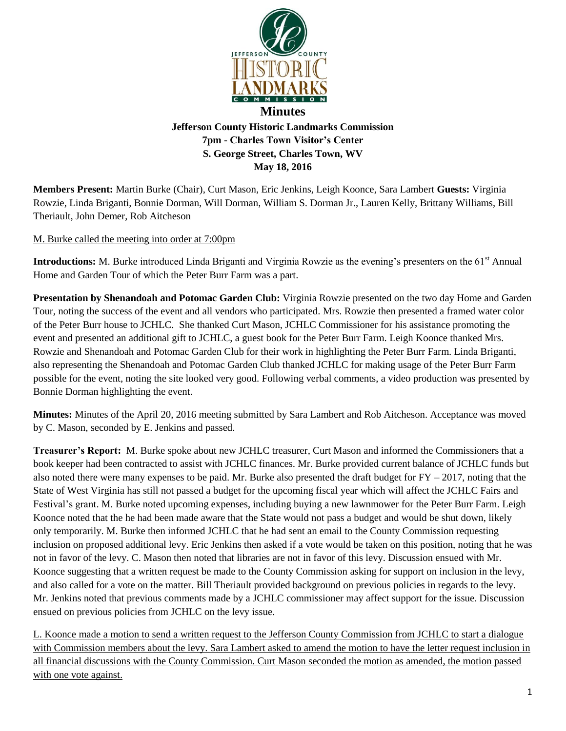

**Members Present:** Martin Burke (Chair), Curt Mason, Eric Jenkins, Leigh Koonce, Sara Lambert **Guests:** Virginia Rowzie, Linda Briganti, Bonnie Dorman, Will Dorman, William S. Dorman Jr., Lauren Kelly, Brittany Williams, Bill Theriault, John Demer, Rob Aitcheson

M. Burke called the meeting into order at 7:00pm

**Introductions:** M. Burke introduced Linda Briganti and Virginia Rowzie as the evening's presenters on the 61<sup>st</sup> Annual Home and Garden Tour of which the Peter Burr Farm was a part.

**Presentation by Shenandoah and Potomac Garden Club:** Virginia Rowzie presented on the two day Home and Garden Tour, noting the success of the event and all vendors who participated. Mrs. Rowzie then presented a framed water color of the Peter Burr house to JCHLC. She thanked Curt Mason, JCHLC Commissioner for his assistance promoting the event and presented an additional gift to JCHLC, a guest book for the Peter Burr Farm. Leigh Koonce thanked Mrs. Rowzie and Shenandoah and Potomac Garden Club for their work in highlighting the Peter Burr Farm. Linda Briganti, also representing the Shenandoah and Potomac Garden Club thanked JCHLC for making usage of the Peter Burr Farm possible for the event, noting the site looked very good. Following verbal comments, a video production was presented by Bonnie Dorman highlighting the event.

**Minutes:** Minutes of the April 20, 2016 meeting submitted by Sara Lambert and Rob Aitcheson. Acceptance was moved by C. Mason, seconded by E. Jenkins and passed.

**Treasurer's Report:** M. Burke spoke about new JCHLC treasurer, Curt Mason and informed the Commissioners that a book keeper had been contracted to assist with JCHLC finances. Mr. Burke provided current balance of JCHLC funds but also noted there were many expenses to be paid. Mr. Burke also presented the draft budget for  $FY - 2017$ , noting that the State of West Virginia has still not passed a budget for the upcoming fiscal year which will affect the JCHLC Fairs and Festival's grant. M. Burke noted upcoming expenses, including buying a new lawnmower for the Peter Burr Farm. Leigh Koonce noted that the he had been made aware that the State would not pass a budget and would be shut down, likely only temporarily. M. Burke then informed JCHLC that he had sent an email to the County Commission requesting inclusion on proposed additional levy. Eric Jenkins then asked if a vote would be taken on this position, noting that he was not in favor of the levy. C. Mason then noted that libraries are not in favor of this levy. Discussion ensued with Mr. Koonce suggesting that a written request be made to the County Commission asking for support on inclusion in the levy, and also called for a vote on the matter. Bill Theriault provided background on previous policies in regards to the levy. Mr. Jenkins noted that previous comments made by a JCHLC commissioner may affect support for the issue. Discussion ensued on previous policies from JCHLC on the levy issue.

L. Koonce made a motion to send a written request to the Jefferson County Commission from JCHLC to start a dialogue with Commission members about the levy. Sara Lambert asked to amend the motion to have the letter request inclusion in all financial discussions with the County Commission. Curt Mason seconded the motion as amended, the motion passed with one vote against.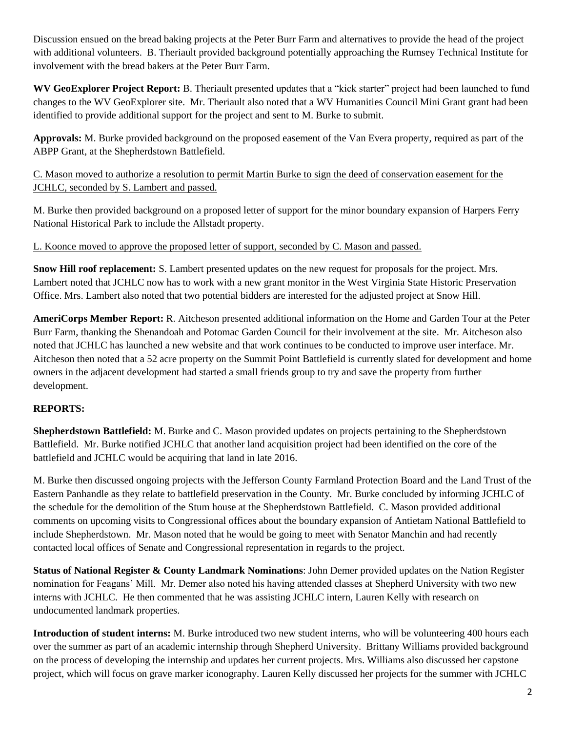Discussion ensued on the bread baking projects at the Peter Burr Farm and alternatives to provide the head of the project with additional volunteers. B. Theriault provided background potentially approaching the Rumsey Technical Institute for involvement with the bread bakers at the Peter Burr Farm.

**WV GeoExplorer Project Report:** B. Theriault presented updates that a "kick starter" project had been launched to fund changes to the WV GeoExplorer site. Mr. Theriault also noted that a WV Humanities Council Mini Grant grant had been identified to provide additional support for the project and sent to M. Burke to submit.

**Approvals:** M. Burke provided background on the proposed easement of the Van Evera property, required as part of the ABPP Grant, at the Shepherdstown Battlefield.

C. Mason moved to authorize a resolution to permit Martin Burke to sign the deed of conservation easement for the JCHLC, seconded by S. Lambert and passed.

M. Burke then provided background on a proposed letter of support for the minor boundary expansion of Harpers Ferry National Historical Park to include the Allstadt property.

L. Koonce moved to approve the proposed letter of support, seconded by C. Mason and passed.

**Snow Hill roof replacement:** S. Lambert presented updates on the new request for proposals for the project. Mrs. Lambert noted that JCHLC now has to work with a new grant monitor in the West Virginia State Historic Preservation Office. Mrs. Lambert also noted that two potential bidders are interested for the adjusted project at Snow Hill.

**AmeriCorps Member Report:** R. Aitcheson presented additional information on the Home and Garden Tour at the Peter Burr Farm, thanking the Shenandoah and Potomac Garden Council for their involvement at the site. Mr. Aitcheson also noted that JCHLC has launched a new website and that work continues to be conducted to improve user interface. Mr. Aitcheson then noted that a 52 acre property on the Summit Point Battlefield is currently slated for development and home owners in the adjacent development had started a small friends group to try and save the property from further development.

## **REPORTS:**

**Shepherdstown Battlefield:** M. Burke and C. Mason provided updates on projects pertaining to the Shepherdstown Battlefield. Mr. Burke notified JCHLC that another land acquisition project had been identified on the core of the battlefield and JCHLC would be acquiring that land in late 2016.

M. Burke then discussed ongoing projects with the Jefferson County Farmland Protection Board and the Land Trust of the Eastern Panhandle as they relate to battlefield preservation in the County. Mr. Burke concluded by informing JCHLC of the schedule for the demolition of the Stum house at the Shepherdstown Battlefield. C. Mason provided additional comments on upcoming visits to Congressional offices about the boundary expansion of Antietam National Battlefield to include Shepherdstown. Mr. Mason noted that he would be going to meet with Senator Manchin and had recently contacted local offices of Senate and Congressional representation in regards to the project.

**Status of National Register & County Landmark Nominations**: John Demer provided updates on the Nation Register nomination for Feagans' Mill. Mr. Demer also noted his having attended classes at Shepherd University with two new interns with JCHLC. He then commented that he was assisting JCHLC intern, Lauren Kelly with research on undocumented landmark properties.

**Introduction of student interns:** M. Burke introduced two new student interns, who will be volunteering 400 hours each over the summer as part of an academic internship through Shepherd University. Brittany Williams provided background on the process of developing the internship and updates her current projects. Mrs. Williams also discussed her capstone project, which will focus on grave marker iconography. Lauren Kelly discussed her projects for the summer with JCHLC